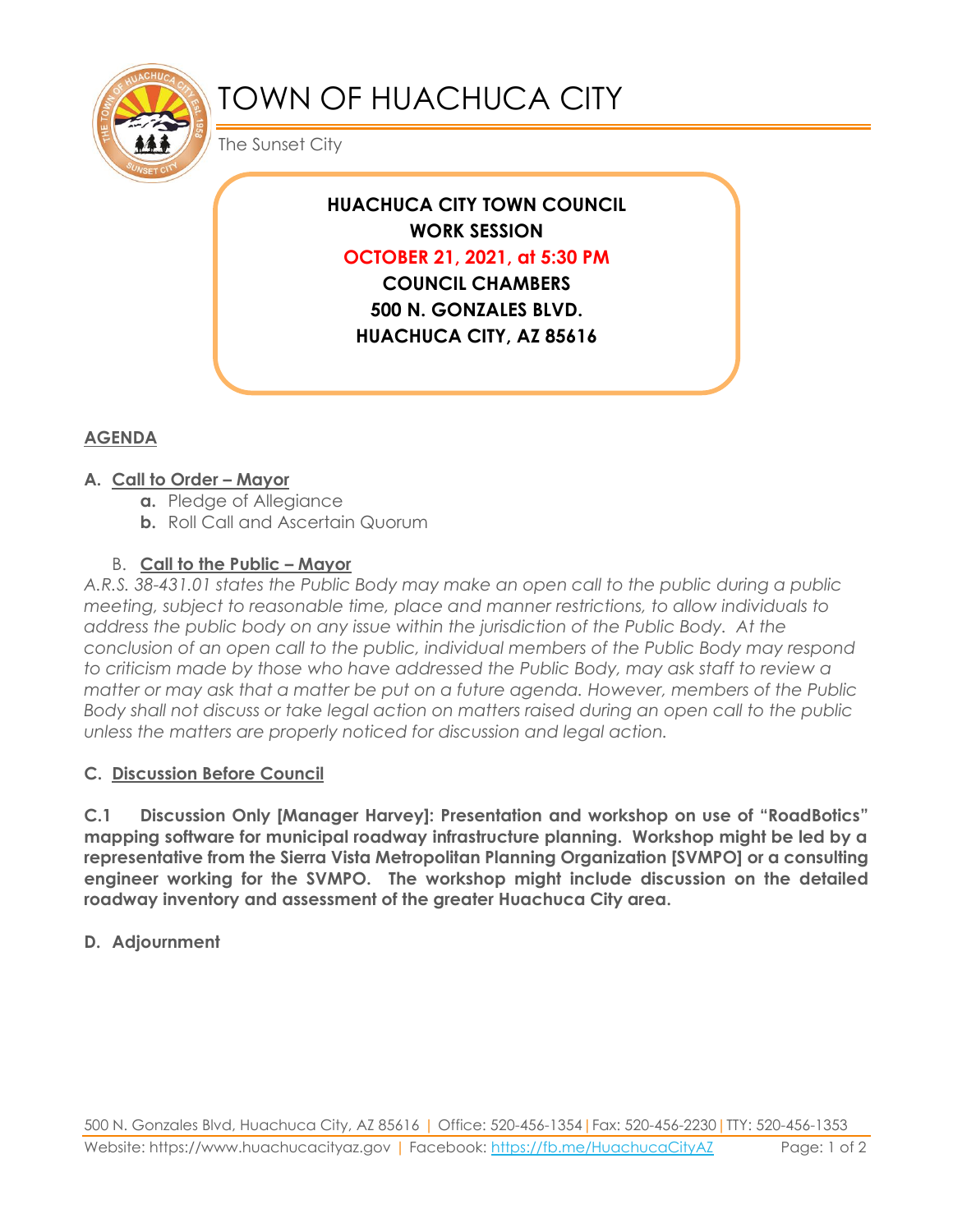

# TOWN OF HUACHUCA CITY

The Sunset City

**HUACHUCA CITY TOWN COUNCIL WORK SESSION OCTOBER 21, 2021, at 5:30 PM COUNCIL CHAMBERS 500 N. GONZALES BLVD. HUACHUCA CITY, AZ 85616**

## **AGENDA**

#### **A. Call to Order – Mayor**

- **a.** Pledge of Allegiance
- **b.** Roll Call and Ascertain Quorum

## B. **Call to the Public – Mayor**

*A.R.S. 38-431.01 states the Public Body may make an open call to the public during a public meeting, subject to reasonable time, place and manner restrictions, to allow individuals to address the public body on any issue within the jurisdiction of the Public Body. At the conclusion of an open call to the public, individual members of the Public Body may respond to criticism made by those who have addressed the Public Body, may ask staff to review a matter or may ask that a matter be put on a future agenda. However, members of the Public Body shall not discuss or take legal action on matters raised during an open call to the public unless the matters are properly noticed for discussion and legal action.*

## **C. Discussion Before Council**

**C.1 Discussion Only [Manager Harvey]: Presentation and workshop on use of "RoadBotics" mapping software for municipal roadway infrastructure planning. Workshop might be led by a representative from the Sierra Vista Metropolitan Planning Organization [SVMPO] or a consulting engineer working for the SVMPO. The workshop might include discussion on the detailed roadway inventory and assessment of the greater Huachuca City area.** 

#### **D. Adjournment**